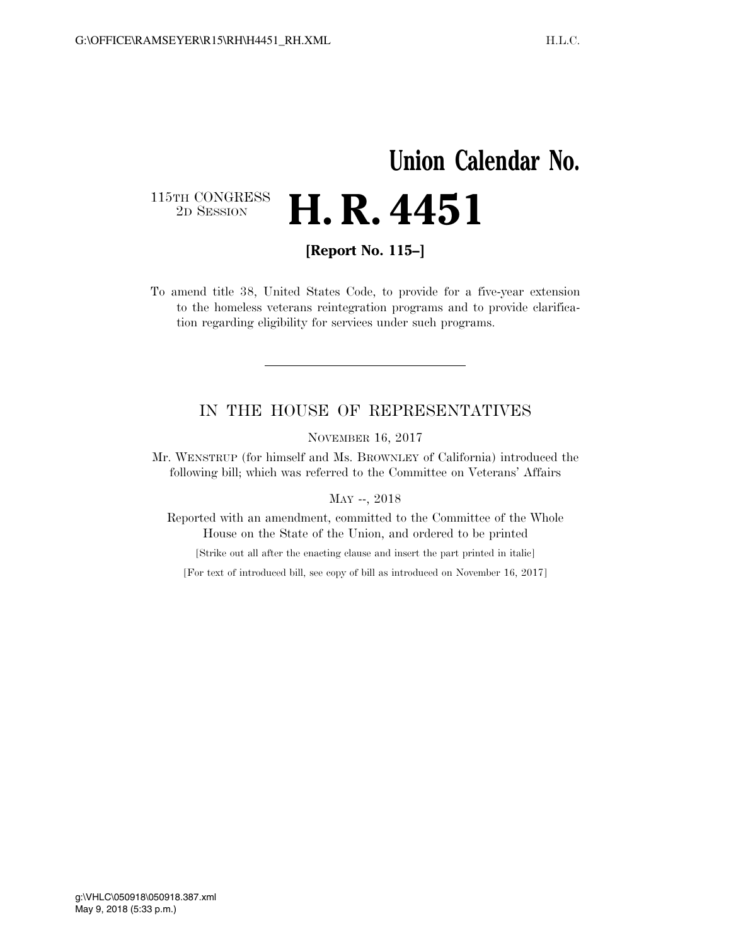## **Union Calendar No.**  115TH CONGRESS<br>2D SESSION **H. R. 4451**

**[Report No. 115–]** 

To amend title 38, United States Code, to provide for a five-year extension to the homeless veterans reintegration programs and to provide clarification regarding eligibility for services under such programs.

## IN THE HOUSE OF REPRESENTATIVES

NOVEMBER 16, 2017

Mr. WENSTRUP (for himself and Ms. BROWNLEY of California) introduced the following bill; which was referred to the Committee on Veterans' Affairs

MAY --, 2018

Reported with an amendment, committed to the Committee of the Whole House on the State of the Union, and ordered to be printed

[Strike out all after the enacting clause and insert the part printed in italic]

[For text of introduced bill, see copy of bill as introduced on November 16, 2017]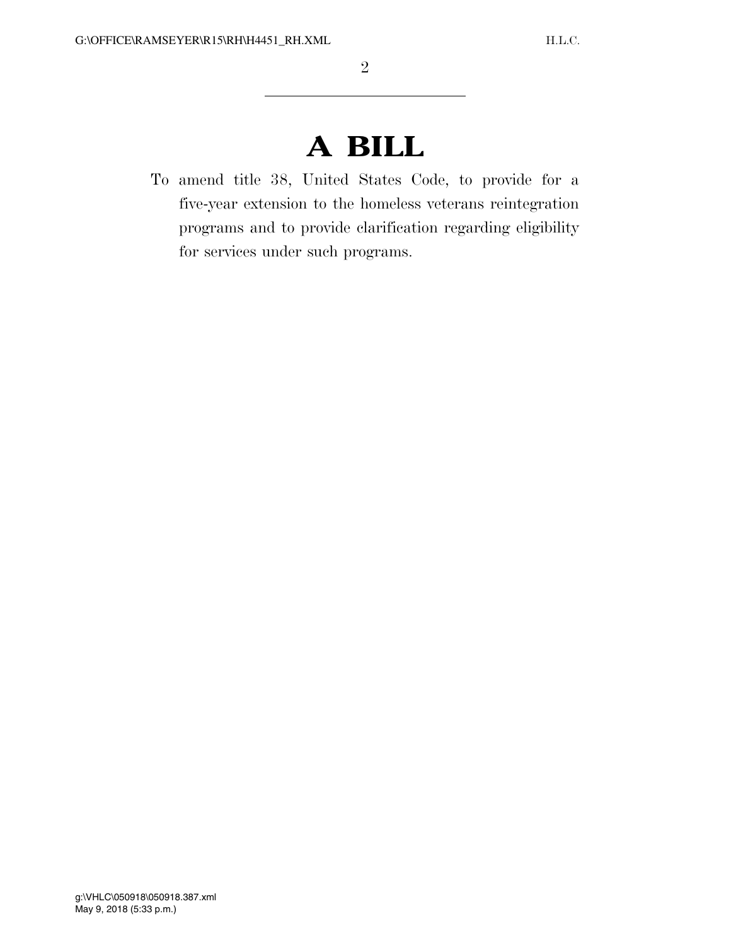## **A BILL**

To amend title 38, United States Code, to provide for a five-year extension to the homeless veterans reintegration programs and to provide clarification regarding eligibility for services under such programs.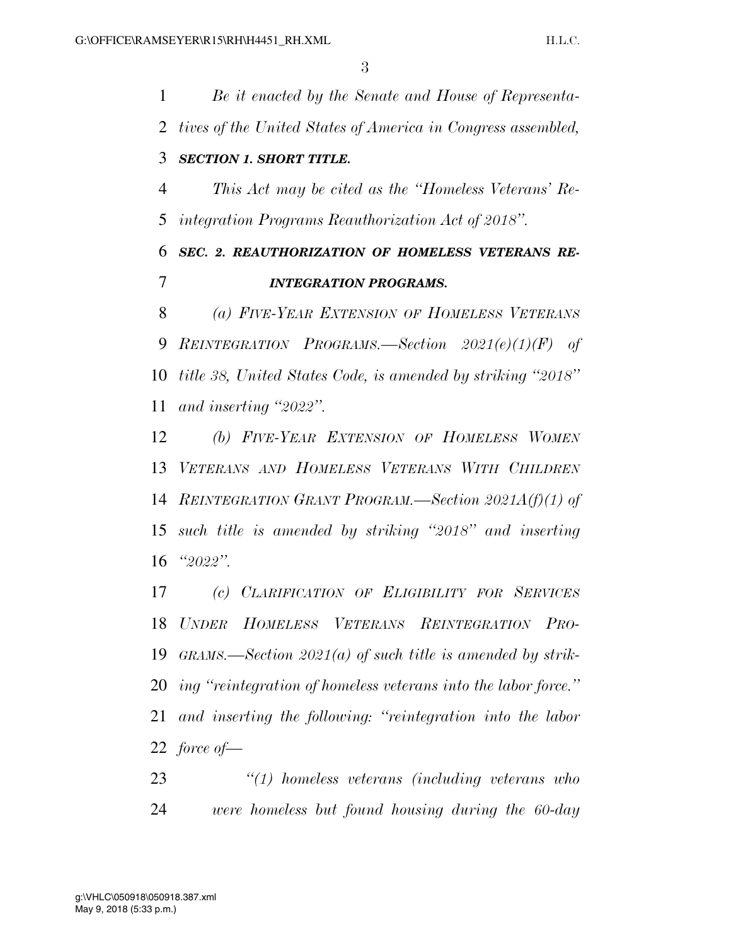*Be it enacted by the Senate and House of Representa- tives of the United States of America in Congress assembled, SECTION 1. SHORT TITLE. This Act may be cited as the ''Homeless Veterans' Re- integration Programs Reauthorization Act of 2018''. SEC. 2. REAUTHORIZATION OF HOMELESS VETERANS RE- INTEGRATION PROGRAMS. (a) FIVE-YEAR EXTENSION OF HOMELESS VETERANS REINTEGRATION PROGRAMS.—Section 2021(e)(1)(F) of title 38, United States Code, is amended by striking ''2018'' and inserting ''2022''. (b) FIVE-YEAR EXTENSION OF HOMELESS WOMEN VETERANS AND HOMELESS VETERANS WITH CHILDREN REINTEGRATION GRANT PROGRAM.—Section 2021A(f)(1) of such title is amended by striking ''2018'' and inserting* 

*''2022''.* 

 *(c) CLARIFICATION OF ELIGIBILITY FOR SERVICES UNDER HOMELESS VETERANS REINTEGRATION PRO- GRAMS.—Section 2021(a) of such title is amended by strik- ing ''reintegration of homeless veterans into the labor force.'' and inserting the following: ''reintegration into the labor force of—* 

 *''(1) homeless veterans (including veterans who were homeless but found housing during the 60-day*